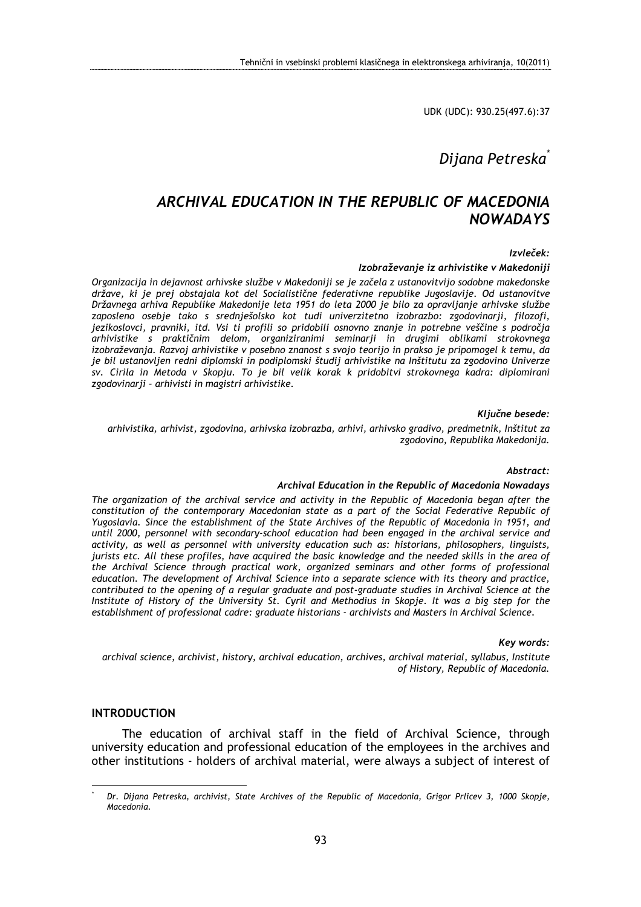UDK (UDC): 930.25(497.6):37

# Dijana Petreska<sup>\*</sup>

## ARCHIVAL EDUCATION IN THE REPUBLIC OF MACEDONIA **NOWADAYS**

#### Izvleček:

#### Izobraževanje iz arhivistike v Makedoniji

Organizacija in dejavnost arhivske službe v Makedoniji se je začela z ustanovitvijo sodobne makedonske države, ki je prej obstajala kot del Socialistične federativne republike Jugoslavije. Od ustanovitve Državnega arhiva Republike Makedonije leta 1951 do leta 2000 je bilo za opravljanje arhivske službe zaposleno osebje tako s srednješolsko kot tudi univerzitetno izobrazbo: zgodovinarji, filozofi, jezikoslovci, pravniki, itd. Vsi ti profili so pridobili osnovno znanje in potrebne veščine s področja arhivistike s praktičnim delom, organiziranimi seminarji in drugimi oblikami strokovnega izobraževanja. Razvoj arhivistike v posebno znanost s svojo teorijo in prakso je pripomogel k temu, da je bil ustanovljen redni diplomski in podiplomski študij arhivistike na Inštitutu za zgodovino Univerze sv. Cirila in Metoda v Skopju. To je bil velik korak k pridobitvi strokovnega kadra: diplomirani zgodovinarji – arhivisti in magistri arhivistike.

#### Ključne besede:

arhivistika, arhivist, zgodovina, arhivska izobrazba, arhivi, arhivsko gradivo, predmetnik, Inštitut za zgodovino, Republika Makedonija.

#### Abstract:

#### Archival Education in the Republic of Macedonia Nowadays

The organization of the archival service and activity in the Republic of Macedonia began after the constitution of the contemporary Macedonian state as a part of the Social Federative Republic of Yugoslavia. Since the establishment of the State Archives of the Republic of Macedonia in 1951, and until 2000, personnel with secondary-school education had been engaged in the archival service and activity, as well as personnel with university education such as: historians, philosophers, linguists, jurists etc. All these profiles, have acquired the basic knowledge and the needed skills in the area of the Archival Science through practical work, organized seminars and other forms of professional education. The development of Archival Science into a separate science with its theory and practice, contributed to the opening of a regular graduate and post-graduate studies in Archival Science at the Institute of History of the University St. Cyril and Methodius in Skopje. It was a big step for the establishment of professional cadre: graduate historians - archivists and Masters in Archival Science.

#### Key words:

archival science, archivist, history, archival education, archives, archival material, syllabus, Institute of History, Republic of Macedonia.

### INTRODUCTION

 $\overline{a}$ \*

The education of archival staff in the field of Archival Science, through university education and professional education of the employees in the archives and other institutions - holders of archival material, were always a subject of interest of

Dr. Dijana Petreska, archivist, State Archives of the Republic of Macedonia, Grigor Prlicev 3, 1000 Skopje, Macedonia.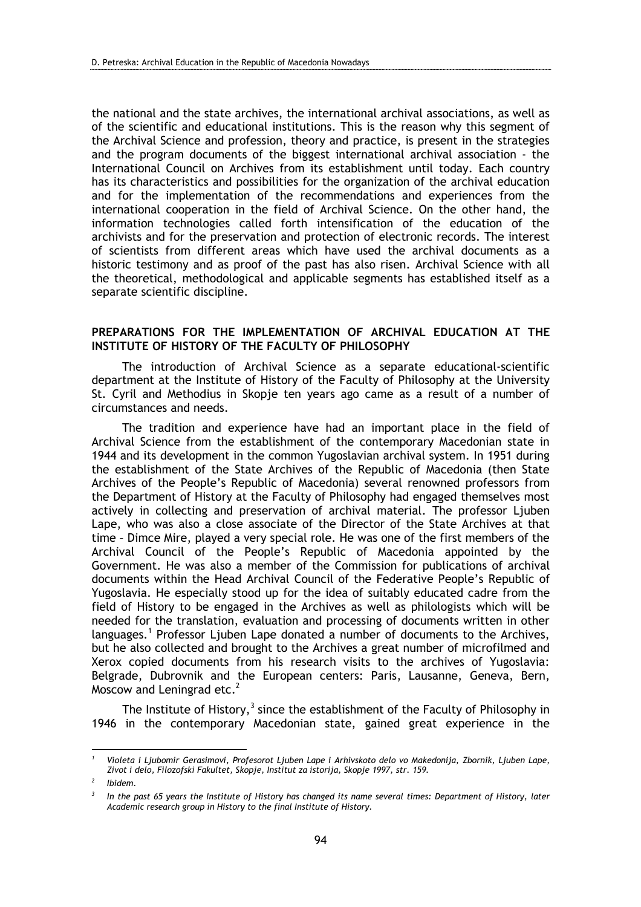the national and the state archives, the international archival associations, as well as of the scientific and educational institutions. This is the reason why this segment of the Archival Science and profession, theory and practice, is present in the strategies and the program documents of the biggest international archival association - the International Council on Archives from its establishment until today. Each country has its characteristics and possibilities for the organization of the archival education and for the implementation of the recommendations and experiences from the international cooperation in the field of Archival Science. On the other hand, the information technologies called forth intensification of the education of the archivists and for the preservation and protection of electronic records. The interest of scientists from different areas which have used the archival documents as a historic testimony and as proof of the past has also risen. Archival Science with all the theoretical, methodological and applicable segments has established itself as a separate scientific discipline.

## PREPARATIONS FOR THE IMPLEMENTATION OF ARCHIVAL EDUCATION AT THE INSTITUTE OF HISTORY OF THE FACULTY OF PHILOSOPHY

The introduction of Archival Science as a separate educational-scientific department at the Institute of History of the Faculty of Philosophy at the University St. Cyril and Methodius in Skopje ten years ago came as a result of a number of circumstances and needs.

The tradition and experience have had an important place in the field of Archival Science from the establishment of the contemporary Macedonian state in 1944 and its development in the common Yugoslavian archival system. In 1951 during the establishment of the State Archives of the Republic of Macedonia (then State Archives of the People's Republic of Macedonia) several renowned professors from the Department of History at the Faculty of Philosophy had engaged themselves most actively in collecting and preservation of archival material. The professor Ljuben Lape, who was also a close associate of the Director of the State Archives at that time – Dimce Mire, played a very special role. He was one of the first members of the Archival Council of the People's Republic of Macedonia appointed by the Government. He was also a member of the Commission for publications of archival documents within the Head Archival Council of the Federative People's Republic of Yugoslavia. He especially stood up for the idea of suitably educated cadre from the field of History to be engaged in the Archives as well as philologists which will be needed for the translation, evaluation and processing of documents written in other languages.<sup>1</sup> Professor Ljuben Lape donated a number of documents to the Archives, but he also collected and brought to the Archives a great number of microfilmed and Xerox copied documents from his research visits to the archives of Yugoslavia: Belgrade, Dubrovnik and the European centers: Paris, Lausanne, Geneva, Bern, Moscow and Leningrad etc.<sup>2</sup>

The Institute of History, $^3$  since the establishment of the Faculty of Philosophy in 1946 in the contemporary Macedonian state, gained great experience in the

<sup>1</sup> Violeta i Ljubomir Gerasimovi, Profesorot Ljuben Lape i Arhivskoto delo vo Makedonija, Zbornik, Ljuben Lape, Zivot i delo, Filozofski Fakultet, Skopje, Institut za istorija, Skopje 1997, str. 159.

<sup>2</sup> Ibidem.

<sup>3</sup> In the past 65 years the Institute of History has changed its name several times: Department of History, later Academic research group in History to the final Institute of History.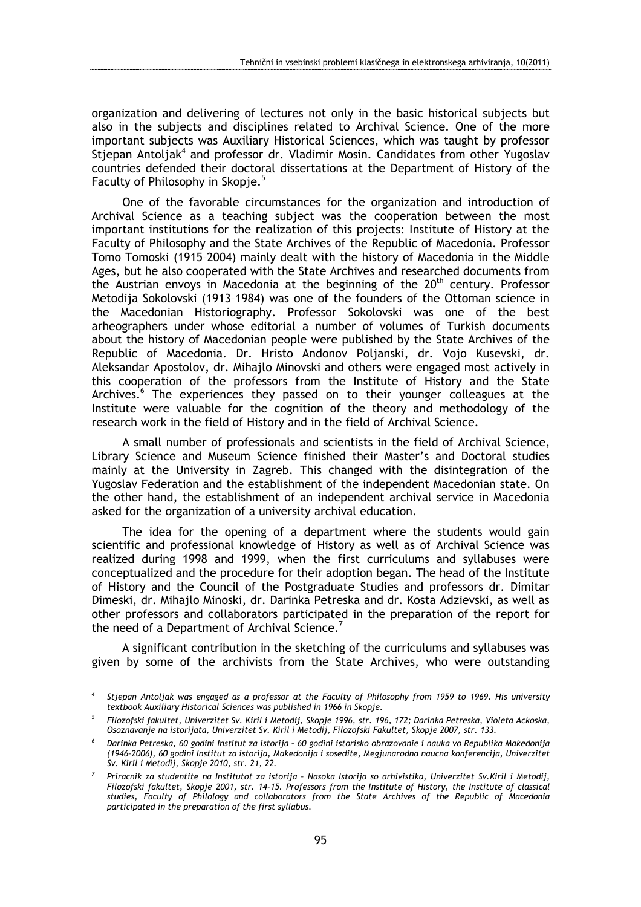organization and delivering of lectures not only in the basic historical subjects but also in the subjects and disciplines related to Archival Science. One of the more important subjects was Auxiliary Historical Sciences, which was taught by professor Stjepan Antoljak<sup>4</sup> and professor dr. Vladimir Mosin. Candidates from other Yugoslav countries defended their doctoral dissertations at the Department of History of the Faculty of Philosophy in Skopje.<sup>5</sup>

One of the favorable circumstances for the organization and introduction of Archival Science as a teaching subject was the cooperation between the most important institutions for the realization of this projects: Institute of History at the Faculty of Philosophy and the State Archives of the Republic of Macedonia. Professor Tomo Tomoski (1915–2004) mainly dealt with the history of Macedonia in the Middle Ages, but he also cooperated with the State Archives and researched documents from the Austrian envoys in Macedonia at the beginning of the  $20<sup>th</sup>$  century. Professor Metodija Sokolovski (1913–1984) was one of the founders of the Ottoman science in the Macedonian Historiography. Professor Sokolovski was one of the best arheographers under whose editorial a number of volumes of Turkish documents about the history of Macedonian people were published by the State Archives of the Republic of Macedonia. Dr. Hristo Andonov Poljanski, dr. Vojo Kusevski, dr. Aleksandar Apostolov, dr. Mihajlo Minovski and others were engaged most actively in this cooperation of the professors from the Institute of History and the State Archives.<sup>6</sup> The experiences they passed on to their younger colleagues at the Institute were valuable for the cognition of the theory and methodology of the research work in the field of History and in the field of Archival Science.

A small number of professionals and scientists in the field of Archival Science, Library Science and Museum Science finished their Master's and Doctoral studies mainly at the University in Zagreb. This changed with the disintegration of the Yugoslav Federation and the establishment of the independent Macedonian state. On the other hand, the establishment of an independent archival service in Macedonia asked for the organization of a university archival education.

The idea for the opening of a department where the students would gain scientific and professional knowledge of History as well as of Archival Science was realized during 1998 and 1999, when the first curriculums and syllabuses were conceptualized and the procedure for their adoption began. The head of the Institute of History and the Council of the Postgraduate Studies and professors dr. Dimitar Dimeski, dr. Mihajlo Minoski, dr. Darinka Petreska and dr. Kosta Adzievski, as well as other professors and collaborators participated in the preparation of the report for the need of a Department of Archival Science.<sup>7</sup>

A significant contribution in the sketching of the curriculums and syllabuses was given by some of the archivists from the State Archives, who were outstanding

<sup>4</sup> Stjepan Antoljak was engaged as a professor at the Faculty of Philosophy from 1959 to 1969. His university textbook Auxiliary Historical Sciences was published in 1966 in Skopje.

<sup>5</sup> Filozofski fakultet, Univerzitet Sv. Kiril i Metodij, Skopje 1996, str. 196, 172; Darinka Petreska, Violeta Ackoska, Osoznavanje na istorijata, Univerzitet Sv. Kiril i Metodij, Filozofski Fakultet, Skopje 2007, str. 133.

<sup>6</sup> Darinka Petreska, 60 godini Institut za istorija – 60 godini istorisko obrazovanie i nauka vo Republika Makedonija (1946–2006), 60 godini Institut za istorija, Makedonija i sosedite, Megjunarodna naucna konferencija, Univerzitet Sv. Kiril i Metodij, Skopje 2010, str. 21, 22.

<sup>7</sup> Priracnik za studentite na Institutot za istorija – Nasoka Istorija so arhivistika, Univerzitet Sv.Kiril i Metodij, Filozofski fakultet, Skopje 2001, str. 14-15. Professors from the Institute of History, the Institute of classical studies, Faculty of Philology and collaborators from the State Archives of the Republic of Macedonia participated in the preparation of the first syllabus.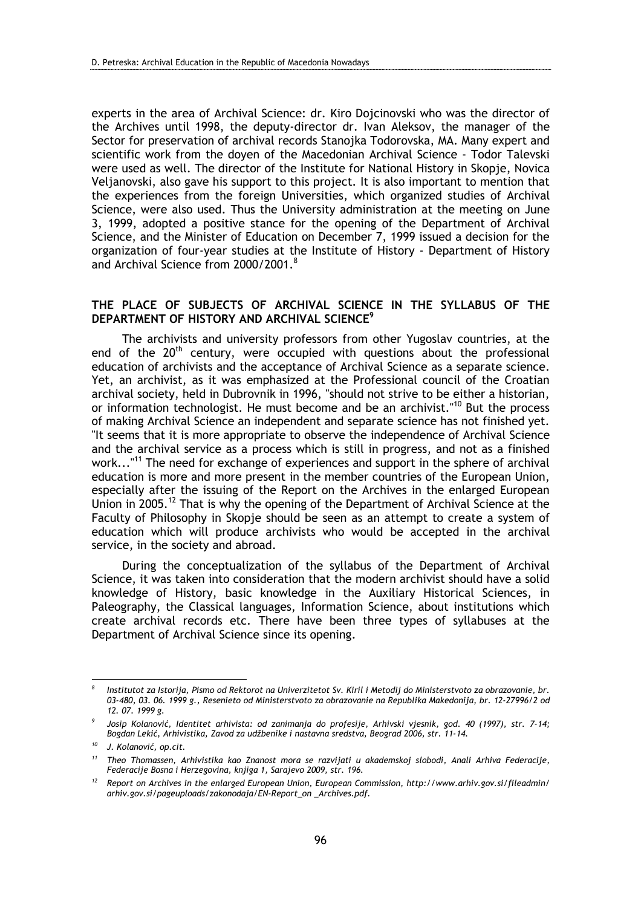experts in the area of Archival Science: dr. Kiro Dojcinovski who was the director of the Archives until 1998, the deputy-director dr. Ivan Aleksov, the manager of the Sector for preservation of archival records Stanojka Todorovska, MA. Many expert and scientific work from the doyen of the Macedonian Archival Science - Todor Talevski were used as well. The director of the Institute for National History in Skopje, Novica Veljanovski, also gave his support to this project. It is also important to mention that the experiences from the foreign Universities, which organized studies of Archival Science, were also used. Thus the University administration at the meeting on June 3, 1999, adopted a positive stance for the opening of the Department of Archival Science, and the Minister of Education on December 7, 1999 issued a decision for the organization of four-year studies at the Institute of History - Department of History and Archival Science from 2000/2001.<sup>8</sup>

## THE PLACE OF SUBJECTS OF ARCHIVAL SCIENCE IN THE SYLLABUS OF THE DEPARTMENT OF HISTORY AND ARCHIVAL SCIENCE<sup>9</sup>

The archivists and university professors from other Yugoslav countries, at the end of the 20<sup>th</sup> century, were occupied with questions about the professional education of archivists and the acceptance of Archival Science as a separate science. Yet, an archivist, as it was emphasized at the Professional council of the Croatian archival society, held in Dubrovnik in 1996, "should not strive to be either a historian, or information technologist. He must become and be an archivist."<sup>10</sup> But the process of making Archival Science an independent and separate science has not finished yet. "It seems that it is more appropriate to observe the independence of Archival Science and the archival service as a process which is still in progress, and not as a finished work..."<sup>11</sup> The need for exchange of experiences and support in the sphere of archival education is more and more present in the member countries of the European Union, especially after the issuing of the Report on the Archives in the enlarged European Union in 2005.<sup>12</sup> That is why the opening of the Department of Archival Science at the Faculty of Philosophy in Skopje should be seen as an attempt to create a system of education which will produce archivists who would be accepted in the archival service, in the society and abroad.

During the conceptualization of the syllabus of the Department of Archival Science, it was taken into consideration that the modern archivist should have a solid knowledge of History, basic knowledge in the Auxiliary Historical Sciences, in Paleography, the Classical languages, Information Science, about institutions which create archival records etc. There have been three types of syllabuses at the Department of Archival Science since its opening.

<sup>8</sup> Institutot za Istorija, Pismo od Rektorot na Univerzitetot Sv. Kiril i Metodij do Ministerstvoto za obrazovanie, br. 03-480, 03. 06. 1999 g., Resenieto od Ministerstvoto za obrazovanie na Republika Makedonija, br. 12-27996/2 od 12. 07. 1999 g.

<sup>9</sup> Josip Kolanović, Identitet arhivista: od zanimanja do profesije, Arhivski vjesnik, god. 40 (1997), str. 7-14; Bogdan Lekić, Arhivistika, Zavod za udžbenike i nastavna sredstva, Beograd 2006, str. 11-14.

J. Kolanović, op.cit.

<sup>11</sup> Theo Thomassen, Arhivistika kao Znanost mora se razvijati u akademskoj slobodi, Anali Arhiva Federacije, Federacije Bosna i Herzegovina, knjiga 1, Sarajevo 2009, str. 196.

<sup>&</sup>lt;sup>12</sup> Report on Archives in the enlarged European Union, European Commission, http://www.arhiv.gov.si/fileadmin/ arhiv.gov.si/pageuploads/zakonodaja/EN-Report\_on \_Archives.pdf.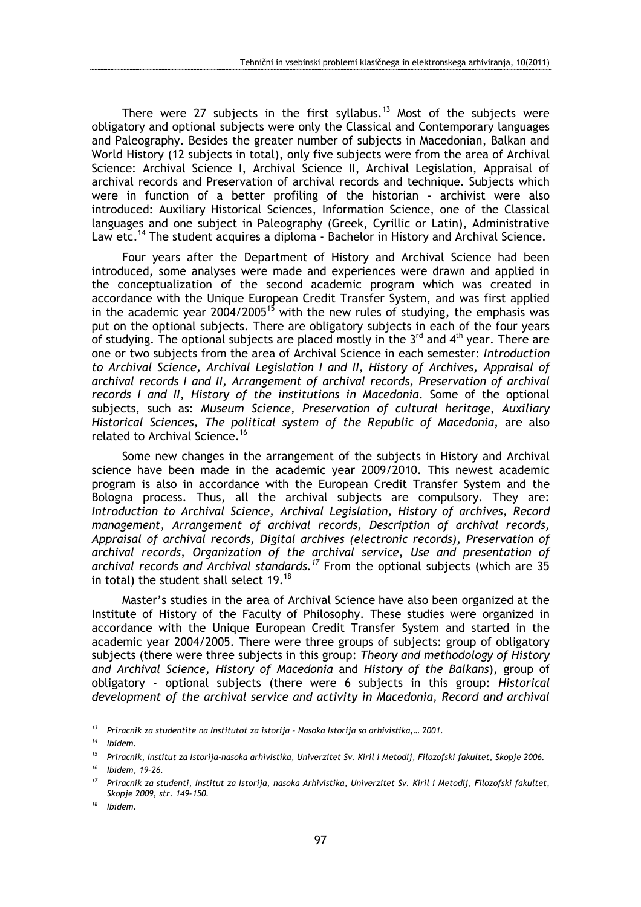There were 27 subjects in the first syllabus.<sup>13</sup> Most of the subjects were obligatory and optional subjects were only the Classical and Contemporary languages and Paleography. Besides the greater number of subjects in Macedonian, Balkan and World History (12 subjects in total), only five subjects were from the area of Archival Science: Archival Science I, Archival Science II, Archival Legislation, Appraisal of archival records and Preservation of archival records and technique. Subjects which were in function of a better profiling of the historian - archivist were also introduced: Auxiliary Historical Sciences, Information Science, one of the Classical languages and one subject in Paleography (Greek, Cyrillic or Latin), Administrative Law etc.<sup>14</sup> The student acquires a diploma - Bachelor in History and Archival Science.

Four years after the Department of History and Archival Science had been introduced, some analyses were made and experiences were drawn and applied in the conceptualization of the second academic program which was created in accordance with the Unique European Credit Transfer System, and was first applied in the academic year  $2004/2005^{15}$  with the new rules of studying, the emphasis was put on the optional subjects. There are obligatory subjects in each of the four years of studying. The optional subjects are placed mostly in the  $3<sup>rd</sup>$  and  $4<sup>th</sup>$  year. There are one or two subjects from the area of Archival Science in each semester: Introduction to Archival Science, Archival Legislation I and II, History of Archives, Appraisal of archival records I and II, Arrangement of archival records, Preservation of archival records I and II, History of the institutions in Macedonia. Some of the optional subjects, such as: Museum Science, Preservation of cultural heritage, Auxiliary Historical Sciences, The political system of the Republic of Macedonia, are also related to Archival Science.<sup>16</sup>

Some new changes in the arrangement of the subjects in History and Archival science have been made in the academic year 2009/2010. This newest academic program is also in accordance with the European Credit Transfer System and the Bologna process. Thus, all the archival subjects are compulsory. They are: Introduction to Archival Science, Archival Legislation, History of archives, Record management, Arrangement of archival records, Description of archival records, Appraisal of archival records, Digital archives (electronic records), Preservation of archival records, Organization of the archival service, Use and presentation of archival records and Archival standards.<sup>17</sup> From the optional subjects (which are 35 in total) the student shall select 19.<sup>18</sup>

Master's studies in the area of Archival Science have also been organized at the Institute of History of the Faculty of Philosophy. These studies were organized in accordance with the Unique European Credit Transfer System and started in the academic year 2004/2005. There were three groups of subjects: group of obligatory subjects (there were three subjects in this group: Theory and methodology of History and Archival Science, History of Macedonia and History of the Balkans), group of obligatory - optional subjects (there were 6 subjects in this group: Historical development of the archival service and activity in Macedonia, Record and archival

 $13$  Priracnik za studentite na Institutot za istorija - Nasoka Istorija so arhivistika,... 2001.

<sup>14</sup> Ibidem.

<sup>&</sup>lt;sup>15</sup> Priracnik, Institut za Istorija-nasoka arhivistika, Univerzitet Sv. Kiril i Metodij, Filozofski fakultet, Skopje 2006. <sup>16</sup> Ibidem, 19-26.

<sup>17</sup> Priracnik za studenti, Institut za Istorija, nasoka Arhivistika, Univerzitet Sv. Kiril i Metodij, Filozofski fakultet, Skopje 2009, str. 149-150.

Ibidem.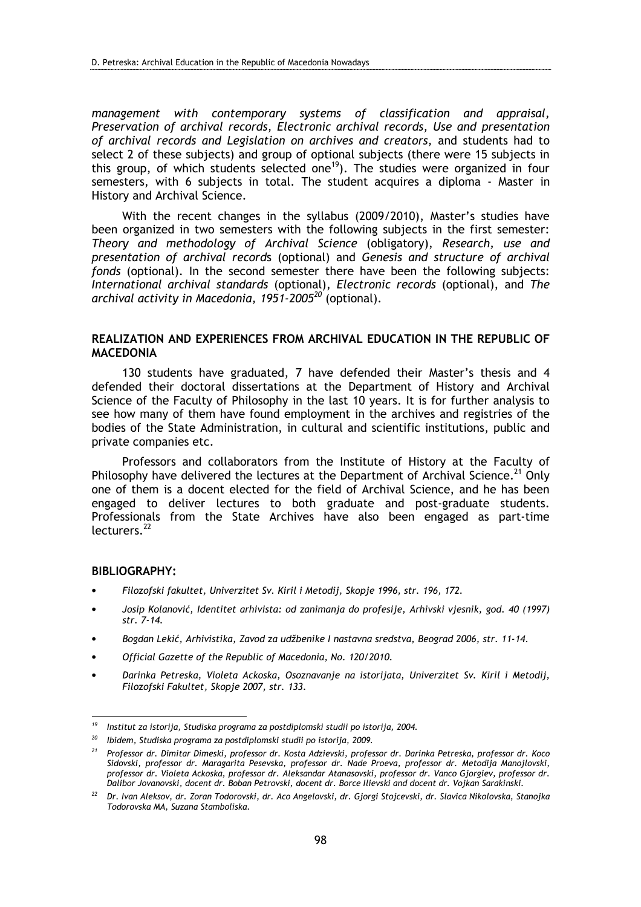management with contemporary systems of classification and appraisal, Preservation of archival records, Electronic archival records, Use and presentation of archival records and Legislation on archives and creators, and students had to select 2 of these subjects) and group of optional subjects (there were 15 subjects in this group, of which students selected one<sup>19</sup>). The studies were organized in four semesters, with 6 subjects in total. The student acquires a diploma - Master in History and Archival Science.

With the recent changes in the syllabus (2009/2010), Master's studies have been organized in two semesters with the following subjects in the first semester: Theory and methodology of Archival Science (obligatory), Research, use and presentation of archival records (optional) and Genesis and structure of archival fonds (optional). In the second semester there have been the following subjects: International archival standards (optional), Electronic records (optional), and The archival activity in Macedonia, 1951-2005 $^{20}$  (optional).

## REALIZATION AND EXPERIENCES FROM ARCHIVAL EDUCATION IN THE REPUBLIC OF **MACEDONIA**

130 students have graduated, 7 have defended their Master's thesis and 4 defended their doctoral dissertations at the Department of History and Archival Science of the Faculty of Philosophy in the last 10 years. It is for further analysis to see how many of them have found employment in the archives and registries of the bodies of the State Administration, in cultural and scientific institutions, public and private companies etc.

Professors and collaborators from the Institute of History at the Faculty of Philosophy have delivered the lectures at the Department of Archival Science.<sup>21</sup> Only one of them is a docent elected for the field of Archival Science, and he has been engaged to deliver lectures to both graduate and post-graduate students. Professionals from the State Archives have also been engaged as part-time  $I$ ecturers<sup>22</sup>

## BIBLIOGRAPHY:

l.

- Filozofski fakultet, Univerzitet Sv. Kiril i Metodij, Skopje 1996, str. 196, 172.
- Josip Kolanović, Identitet arhivista: od zanimanja do profesije, Arhivski vjesnik, god. 40 (1997) str. 7-14.
- Bogdan Lekić, Arhivistika, Zavod za udžbenike I nastavna sredstva, Beograd 2006, str. 11-14.
- Official Gazette of the Republic of Macedonia, No. 120/2010.
- Darinka Petreska, Violeta Ackoska, Osoznavanje na istorijata, Univerzitet Sv. Kiril i Metodij, Filozofski Fakultet, Skopje 2007, str. 133.

<sup>19</sup> Institut za istorija, Studiska programa za postdiplomski studii po istorija, 2004.

 $20$  Ibidem, Studiska programa za postdiplomski studii po istorija, 2009.

<sup>&</sup>lt;sup>21</sup> Professor dr. Dimitar Dimeski, professor dr. Kosta Adzievski, professor dr. Darinka Petreska, professor dr. Koco Sidovski, professor dr. Maragarita Pesevska, professor dr. Nade Proeva, professor dr. Metodija Manojlovski, professor dr. Violeta Ackoska, professor dr. Aleksandar Atanasovski, professor dr. Vanco Gjorgiev, professor dr. Dalibor Jovanovski, docent dr. Boban Petrovski, docent dr. Borce Ilievski and docent dr. Vojkan Sarakinski.

<sup>&</sup>lt;sup>22</sup> Dr. Ivan Aleksov, dr. Zoran Todorovski, dr. Aco Angelovski, dr. Gjorgi Stojcevski, dr. Slavica Nikolovska, Stanojka Todorovska MA, Suzana Stamboliska.